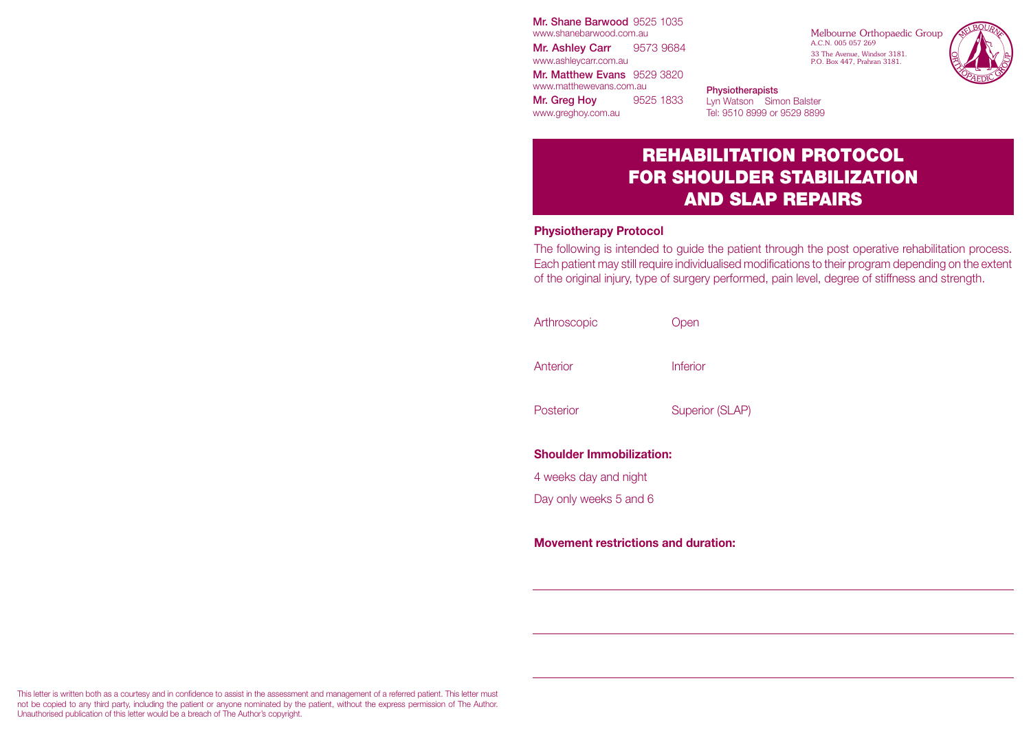Mr. Shane Barwood 9525 1035 www.shanebarwood.com.au Mr. Ashley Carr 9573 9684 www.ashleycarr.com.au Mr. Matthew Evans 9529 3820 www.matthewevans.com.au Mr. Greg Hoy 9525 1833

Melbourne Orthopaedic Group A.C.N. 005 057 269 33 The Avenue, Windsor 3181. P.O. Box 447, Prahran 3181.



**Physiotherapists** Lyn Watson Simon Balster Tel: 9510 8999 or 9529 8899

# REHABILITATION PROTOCOL FOR SHOULDER STABILIZATION AND SLAP REPAIRS

#### **Physiotherapy Protocol**

www.greghoy.com.au

The following is intended to guide the patient through the post operative rehabilitation process. Each patient may still require individualised modifications to their program depending on the extent of the original injury, type of surgery performed, pain level, degree of stiffness and strength.

| Arthroscopic                    | Open                   |
|---------------------------------|------------------------|
| Anterior                        | Inferior               |
| Posterior                       | <b>Superior (SLAP)</b> |
| <b>Shoulder Immobilization:</b> |                        |
| 4 weeks day and night           |                        |
| Day only weeks 5 and 6          |                        |
|                                 |                        |

**Movement restrictions and duration:**

This letter is written both as a courtesy and in confidence to assist in the assessment and management of a referred patient. This letter must not be copied to any third party, including the patient or anyone nominated by the patient, without the express permission of The Author. Unauthorised publication of this letter would be a breach of The Author's copyright.